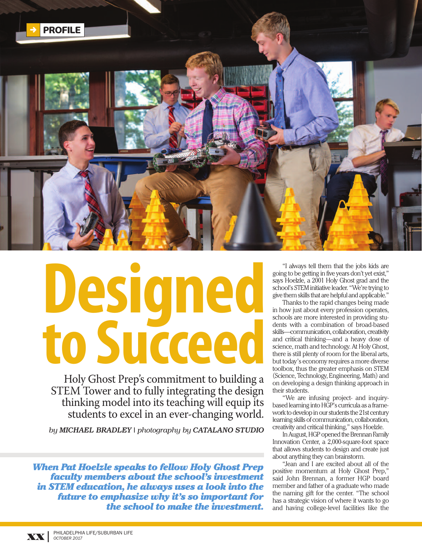

## **Designed to Succeed**

Holy Ghost Prep's commitment to building a STEM Tower and to fully integrating the design thinking model into its teaching will equip its students to excel in an ever-changing world.

*by MICHAEL BRADLEY | photography by CATALANO STUDIO*

*When Pat Hoelzle speaks to fellow Holy Ghost Prep faculty members about the school's investment in STEM education, he always uses a look into the future to emphasize why it's so important for the school to make the investment.*

"I always tell them that the jobs kids are going to be getting in five years don't yet exist," says Hoelzle, a 2001 Holy Ghost grad and the school's STEM initiative leader. "We're trying to give themskills that arehelpful and applicable."

Thanks to the rapid changes being made in how just about every profession operates, schools are more interested in providing students with a combination of broad-based skills—communication, collaboration, creativity and critical thinking—and a heavy dose of science, math and technology. At Holy Ghost, there is still plenty of room for the liberal arts, but today's economy requires a more diverse toolbox, thus the greater emphasis on STEM (Science, Technology, Engineering, Math) and on developing a design thinking approach in their students.

"We are infusing project- and inquirybased learning into HGP's curricula as a framework to develop in our students the 21st century learning skills of communication, collaboration, creativity and critical thinking," says Hoelzle.

In August, HGP opened the Brennan Family Innovation Center, a 2,000-square-foot space that allows students to design and create just about anything they can brainstorm.

"Jean and I are excited about all of the positive momentum at Holy Ghost Prep," said John Brennan, a former HGP board member and father of a graduate who made the naming gift for the center. "The school has a strategic vision of where it wants to go and having college-level facilities like the